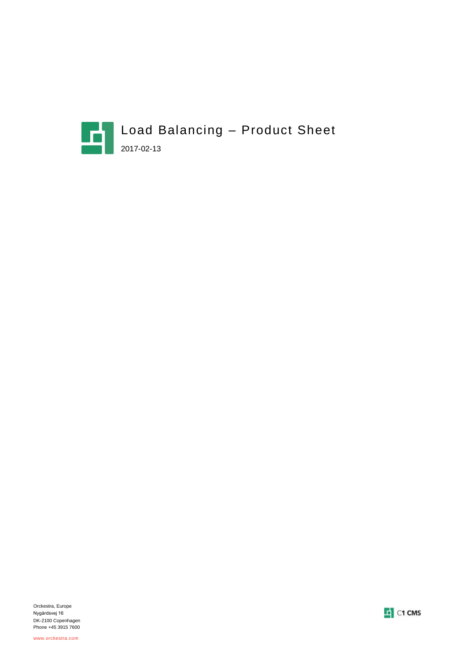



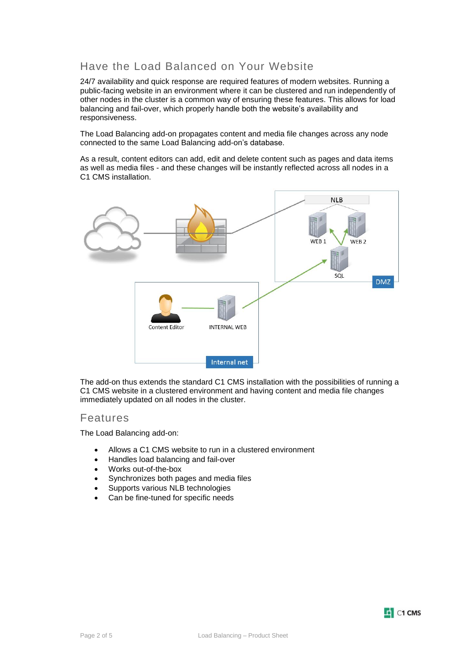## Have the Load Balanced on Your Website

24/7 availability and quick response are required features of modern websites. Running a public-facing website in an environment where it can be clustered and run independently of other nodes in the cluster is a common way of ensuring these features. This allows for load balancing and fail-over, which properly handle both the website's availability and responsiveness.

The Load Balancing add-on propagates content and media file changes across any node connected to the same Load Balancing add-on's database.

As a result, content editors can add, edit and delete content such as pages and data items as well as media files - and these changes will be instantly reflected across all nodes in a C1 CMS installation.



The add-on thus extends the standard C1 CMS installation with the possibilities of running a C1 CMS website in a clustered environment and having content and media file changes immediately updated on all nodes in the cluster.

#### Features

The Load Balancing add-on:

- Allows a C1 CMS website to run in a clustered environment
- Handles load balancing and fail-over
- Works out-of-the-box
- Synchronizes both pages and media files
- Supports various NLB technologies
- Can be fine-tuned for specific needs

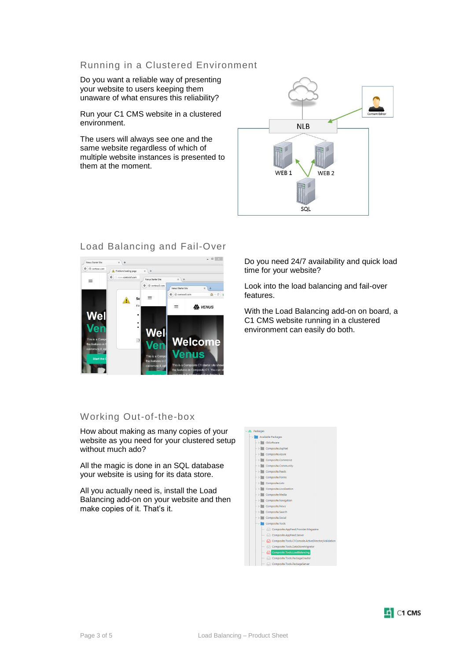#### Running in a Clustered Environment

Do you want a reliable way of presenting your website to users keeping them unaware of what ensures this reliability?

Run your C1 CMS website in a clustered environment.

The users will always see one and the same website regardless of which of multiple website instances is presented to them at the moment.





### Load Balancing and Fail-Over

Working Out-of-the-box

How about making as many copies of your website as you need for your clustered setup without much ado?

All the magic is done in an SQL database your website is using for its data store.

All you actually need is, install the Load Balancing add-on on your website and then make copies of it. That's it.

time for your website? Look into the load balancing and fail-over features.

Do you need 24/7 availability and quick load

With the Load Balancing add-on on board, a C1 CMS website running in a clustered environment can easily do both.

| Available Packages |  |  |                                                   |
|--------------------|--|--|---------------------------------------------------|
|                    |  |  | $-$ > $\blacksquare$ CkSoftware                   |
|                    |  |  | -> Composite.AspNet                               |
|                    |  |  | $-$ > $\blacksquare$ Composite.Azure              |
|                    |  |  | $-$ > $\blacksquare$ Composite.Commerce           |
|                    |  |  | $-$ > $\blacksquare$ Composite.Community          |
|                    |  |  | $-$ > $\blacksquare$ Composite.Feeds              |
|                    |  |  | $-$ > $\blacksquare$ Composite.Forms              |
|                    |  |  | $-$ > $\blacksquare$ Composite.Lists              |
|                    |  |  | $-$ > Composite.Localization                      |
|                    |  |  | $-$ > $\blacksquare$ Composite.Media              |
|                    |  |  | $-$ > $\blacksquare$ Composite. Navigation        |
|                    |  |  | $-$ > $\blacksquare$ Composite.News               |
|                    |  |  | $-$ > Composite.Search                            |
|                    |  |  | $-$ > $\blacksquare$ Composite.Social             |
|                    |  |  | Composite.Tools                                   |
|                    |  |  | Composite.AppFeed.Provider.Magazine               |
|                    |  |  | Composite.AppFeed.Server                          |
|                    |  |  | Composite.Tools.C1Console.ActiveDirectoryValidati |
|                    |  |  | Composite.Tools.DataStoreMigrator                 |
|                    |  |  | Composite.Tools.LoadBalancing                     |
|                    |  |  | Composite.Tools.PackageCreator                    |
|                    |  |  | Composite.Tools.PackageServer                     |
|                    |  |  |                                                   |

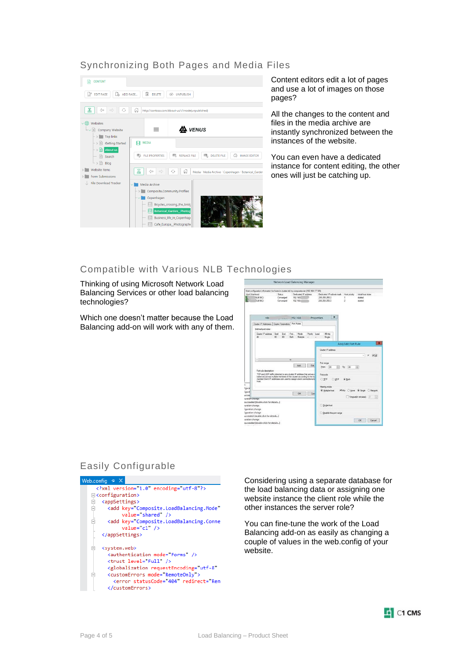#### Synchronizing Both Pages and Media Files



Content editors edit a lot of pages and use a lot of images on those pages?

All the changes to the content and files in the media archive are instantly synchronized between the instances of the website.

You can even have a dedicated instance for content editing, the other ones will just be catching up.

#### Compatible with Various NLB Technologies

Thinking of using Microsoft Network Load Balancing Services or other load balancing technologies?

Which one doesn't matter because the Load Balancing add-on will work with any of them.



### Easily Configurable



Considering using a separate database for the load balancing data or assigning one website instance the client role while the other instances the server role?

You can fine-tune the work of the Load Balancing add-on as easily as changing a couple of values in the web.config of your website.